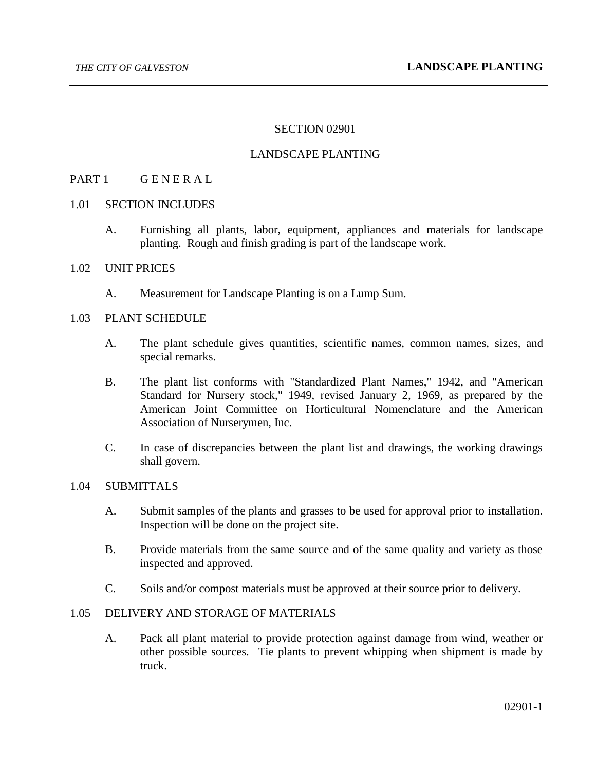### SECTION 02901

### LANDSCAPE PLANTING

### PART 1 GENERAL

#### 1.01 SECTION INCLUDES

A. Furnishing all plants, labor, equipment, appliances and materials for landscape planting. Rough and finish grading is part of the landscape work.

### 1.02 UNIT PRICES

A. Measurement for Landscape Planting is on a Lump Sum.

## 1.03 PLANT SCHEDULE

- A. The plant schedule gives quantities, scientific names, common names, sizes, and special remarks.
- B. The plant list conforms with "Standardized Plant Names," 1942, and "American Standard for Nursery stock," 1949, revised January 2, 1969, as prepared by the American Joint Committee on Horticultural Nomenclature and the American Association of Nurserymen, Inc.
- C. In case of discrepancies between the plant list and drawings, the working drawings shall govern.

#### 1.04 SUBMITTALS

- A. Submit samples of the plants and grasses to be used for approval prior to installation. Inspection will be done on the project site.
- B. Provide materials from the same source and of the same quality and variety as those inspected and approved.
- C. Soils and/or compost materials must be approved at their source prior to delivery.

## 1.05 DELIVERY AND STORAGE OF MATERIALS

A. Pack all plant material to provide protection against damage from wind, weather or other possible sources. Tie plants to prevent whipping when shipment is made by truck.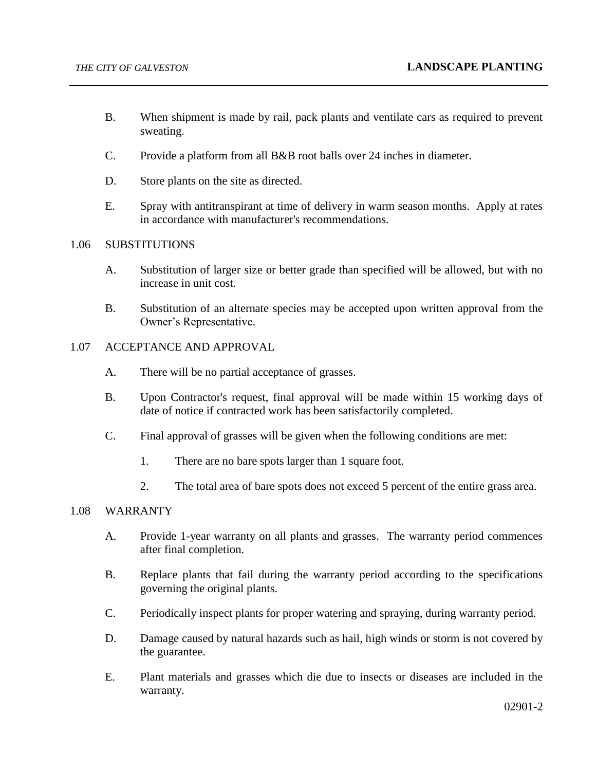- B. When shipment is made by rail, pack plants and ventilate cars as required to prevent sweating.
- C. Provide a platform from all B&B root balls over 24 inches in diameter.
- D. Store plants on the site as directed.
- E. Spray with antitranspirant at time of delivery in warm season months. Apply at rates in accordance with manufacturer's recommendations.

#### 1.06 SUBSTITUTIONS

- A. Substitution of larger size or better grade than specified will be allowed, but with no increase in unit cost.
- B. Substitution of an alternate species may be accepted upon written approval from the Owner's Representative.

### 1.07 ACCEPTANCE AND APPROVAL

- A. There will be no partial acceptance of grasses.
- B. Upon Contractor's request, final approval will be made within 15 working days of date of notice if contracted work has been satisfactorily completed.
- C. Final approval of grasses will be given when the following conditions are met:
	- 1. There are no bare spots larger than 1 square foot.
	- 2. The total area of bare spots does not exceed 5 percent of the entire grass area.

## 1.08 WARRANTY

- A. Provide 1-year warranty on all plants and grasses. The warranty period commences after final completion.
- B. Replace plants that fail during the warranty period according to the specifications governing the original plants.
- C. Periodically inspect plants for proper watering and spraying, during warranty period.
- D. Damage caused by natural hazards such as hail, high winds or storm is not covered by the guarantee.
- E. Plant materials and grasses which die due to insects or diseases are included in the warranty.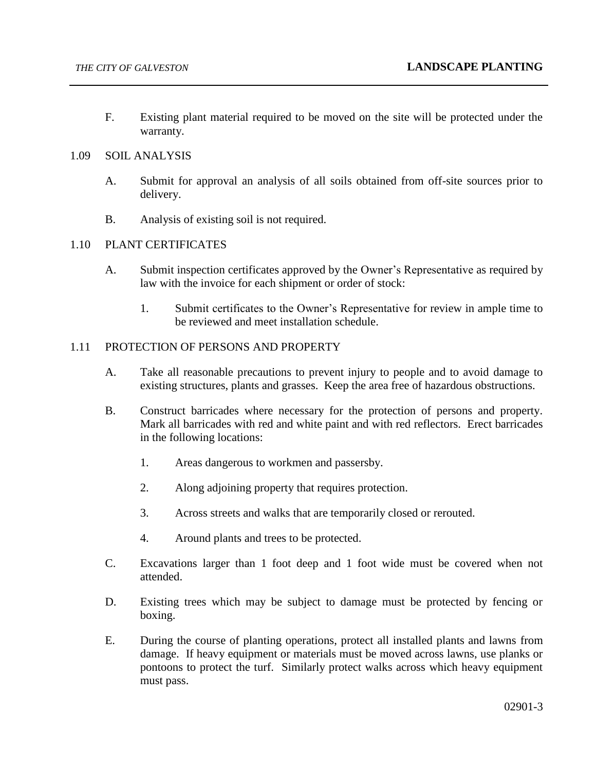F. Existing plant material required to be moved on the site will be protected under the warranty.

### 1.09 SOIL ANALYSIS

- A. Submit for approval an analysis of all soils obtained from off-site sources prior to delivery.
- B. Analysis of existing soil is not required.

### 1.10 PLANT CERTIFICATES

- A. Submit inspection certificates approved by the Owner's Representative as required by law with the invoice for each shipment or order of stock:
	- 1. Submit certificates to the Owner's Representative for review in ample time to be reviewed and meet installation schedule.

### 1.11 PROTECTION OF PERSONS AND PROPERTY

- A. Take all reasonable precautions to prevent injury to people and to avoid damage to existing structures, plants and grasses. Keep the area free of hazardous obstructions.
- B. Construct barricades where necessary for the protection of persons and property. Mark all barricades with red and white paint and with red reflectors. Erect barricades in the following locations:
	- 1. Areas dangerous to workmen and passersby.
	- 2. Along adjoining property that requires protection.
	- 3. Across streets and walks that are temporarily closed or rerouted.
	- 4. Around plants and trees to be protected.
- C. Excavations larger than 1 foot deep and 1 foot wide must be covered when not attended.
- D. Existing trees which may be subject to damage must be protected by fencing or boxing.
- E. During the course of planting operations, protect all installed plants and lawns from damage. If heavy equipment or materials must be moved across lawns, use planks or pontoons to protect the turf. Similarly protect walks across which heavy equipment must pass.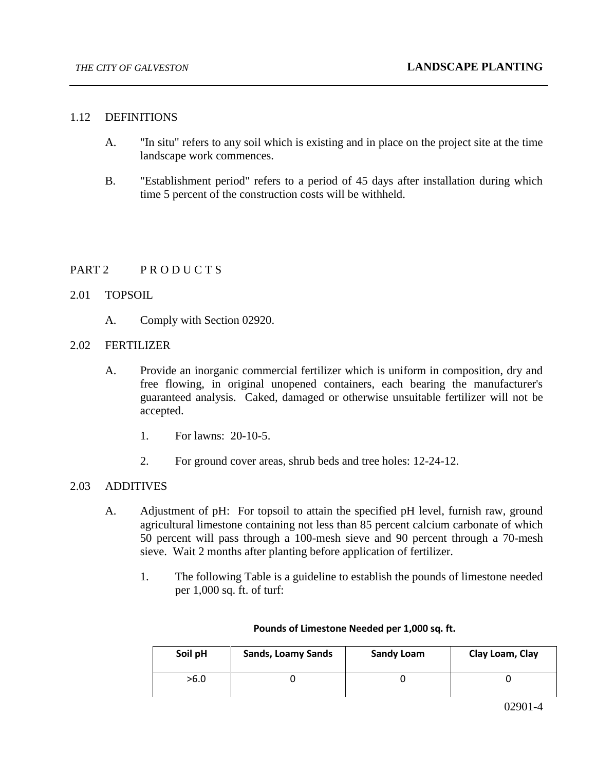### 1.12 DEFINITIONS

- A. "In situ" refers to any soil which is existing and in place on the project site at the time landscape work commences.
- B. "Establishment period" refers to a period of 45 days after installation during which time 5 percent of the construction costs will be withheld.

# PART 2 PRODUCTS

### 2.01 TOPSOIL

A. Comply with Section 02920.

### 2.02 FERTILIZER

- A. Provide an inorganic commercial fertilizer which is uniform in composition, dry and free flowing, in original unopened containers, each bearing the manufacturer's guaranteed analysis. Caked, damaged or otherwise unsuitable fertilizer will not be accepted.
	- 1. For lawns: 20-10-5.
	- 2. For ground cover areas, shrub beds and tree holes: 12-24-12.

#### 2.03 ADDITIVES

- A. Adjustment of pH: For topsoil to attain the specified pH level, furnish raw, ground agricultural limestone containing not less than 85 percent calcium carbonate of which 50 percent will pass through a 100-mesh sieve and 90 percent through a 70-mesh sieve. Wait 2 months after planting before application of fertilizer.
	- 1. The following Table is a guideline to establish the pounds of limestone needed per 1,000 sq. ft. of turf:

| Soil pH | <b>Sands, Loamy Sands</b> | <b>Sandy Loam</b> | Clay Loam, Clay |
|---------|---------------------------|-------------------|-----------------|
| >6.0    |                           |                   |                 |

#### **Pounds of Limestone Needed per 1,000 sq. ft.**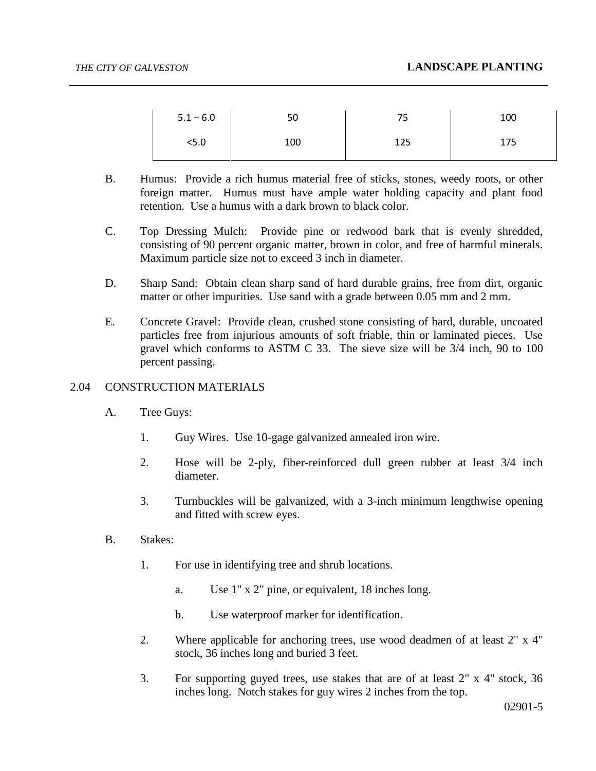| $5.1 - 6.0$ | 50  | ᄀᄃ<br>ر_ ٰ | 100 |
|-------------|-----|------------|-----|
| 5.0>        | 100 | 125        | 175 |

- B. Humus: Provide a rich humus material free of sticks, stones, weedy roots, or other foreign matter. Humus must have ample water holding capacity and plant food retention. Use a humus with a dark brown to black color.
- C. Top Dressing Mulch: Provide pine or redwood bark that is evenly shredded, consisting of 90 percent organic matter, brown in color, and free of harmful minerals. Maximum particle size not to exceed 3 inch in diameter.
- D. Sharp Sand: Obtain clean sharp sand of hard durable grains, free from dirt, organic matter or other impurities. Use sand with a grade between 0.05 mm and 2 mm.
- E. Concrete Gravel: Provide clean, crushed stone consisting of hard, durable, uncoated particles free from injurious amounts of soft friable, thin or laminated pieces. Use gravel which conforms to ASTM C 33. The sieve size will be 3/4 inch, 90 to 100 percent passing.

## 2.04 CONSTRUCTION MATERIALS

- A. Tree Guys:
	- 1. Guy Wires. Use 10-gage galvanized annealed iron wire.
	- 2. Hose will be 2-ply, fiber-reinforced dull green rubber at least 3/4 inch diameter.
	- 3. Turnbuckles will be galvanized, with a 3-inch minimum lengthwise opening and fitted with screw eyes.
- B. Stakes:
	- 1. For use in identifying tree and shrub locations.
		- a. Use 1" x 2" pine, or equivalent, 18 inches long.
		- b. Use waterproof marker for identification.
	- 2. Where applicable for anchoring trees, use wood deadmen of at least 2" x 4" stock, 36 inches long and buried 3 feet.
	- 3. For supporting guyed trees, use stakes that are of at least 2" x 4" stock, 36 inches long. Notch stakes for guy wires 2 inches from the top.

02901-5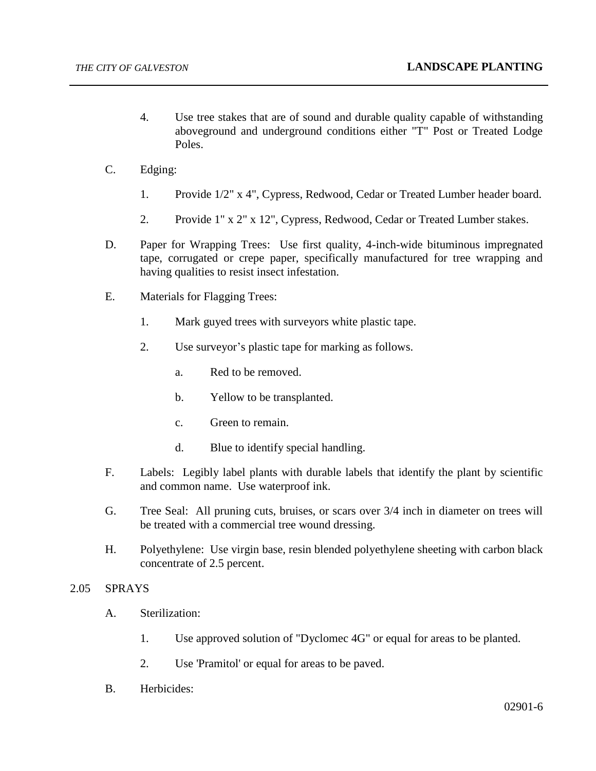- 4. Use tree stakes that are of sound and durable quality capable of withstanding aboveground and underground conditions either "T" Post or Treated Lodge Poles.
- C. Edging:
	- 1. Provide 1/2" x 4", Cypress, Redwood, Cedar or Treated Lumber header board.
	- 2. Provide 1" x 2" x 12", Cypress, Redwood, Cedar or Treated Lumber stakes.
- D. Paper for Wrapping Trees: Use first quality, 4-inch-wide bituminous impregnated tape, corrugated or crepe paper, specifically manufactured for tree wrapping and having qualities to resist insect infestation.
- E. Materials for Flagging Trees:
	- 1. Mark guyed trees with surveyors white plastic tape.
	- 2. Use surveyor's plastic tape for marking as follows.
		- a. Red to be removed.
		- b. Yellow to be transplanted.
		- c. Green to remain.
		- d. Blue to identify special handling.
- F. Labels: Legibly label plants with durable labels that identify the plant by scientific and common name. Use waterproof ink.
- G. Tree Seal: All pruning cuts, bruises, or scars over 3/4 inch in diameter on trees will be treated with a commercial tree wound dressing.
- H. Polyethylene: Use virgin base, resin blended polyethylene sheeting with carbon black concentrate of 2.5 percent.

## 2.05 SPRAYS

- A. Sterilization:
	- 1. Use approved solution of "Dyclomec 4G" or equal for areas to be planted.
	- 2. Use 'Pramitol' or equal for areas to be paved.
- B. Herbicides: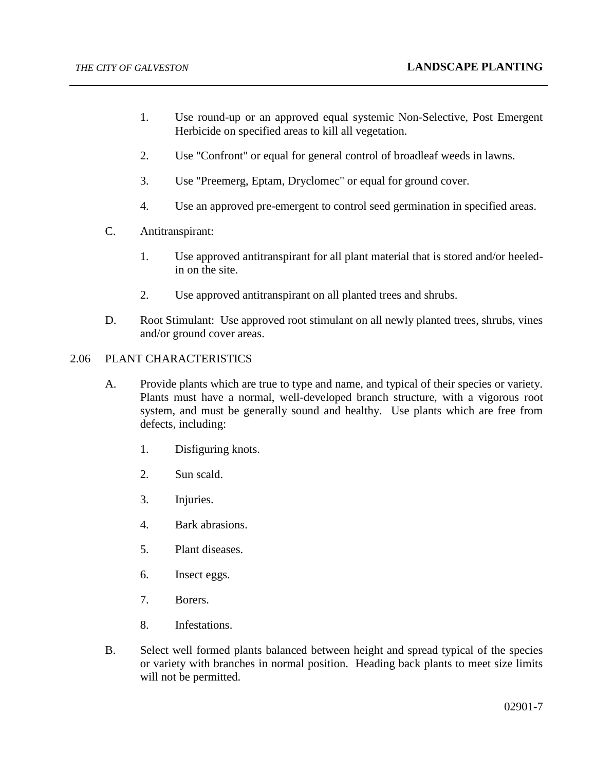- 1. Use round-up or an approved equal systemic Non-Selective, Post Emergent Herbicide on specified areas to kill all vegetation.
- 2. Use "Confront" or equal for general control of broadleaf weeds in lawns.
- 3. Use "Preemerg, Eptam, Dryclomec" or equal for ground cover.
- 4. Use an approved pre-emergent to control seed germination in specified areas.
- C. Antitranspirant:
	- 1. Use approved antitranspirant for all plant material that is stored and/or heeledin on the site.
	- 2. Use approved antitranspirant on all planted trees and shrubs.
- D. Root Stimulant: Use approved root stimulant on all newly planted trees, shrubs, vines and/or ground cover areas.

## 2.06 PLANT CHARACTERISTICS

- A. Provide plants which are true to type and name, and typical of their species or variety. Plants must have a normal, well-developed branch structure, with a vigorous root system, and must be generally sound and healthy. Use plants which are free from defects, including:
	- 1. Disfiguring knots.
	- 2. Sun scald.
	- 3. Injuries.
	- 4. Bark abrasions.
	- 5. Plant diseases.
	- 6. Insect eggs.
	- 7. Borers.
	- 8. Infestations.
- B. Select well formed plants balanced between height and spread typical of the species or variety with branches in normal position. Heading back plants to meet size limits will not be permitted.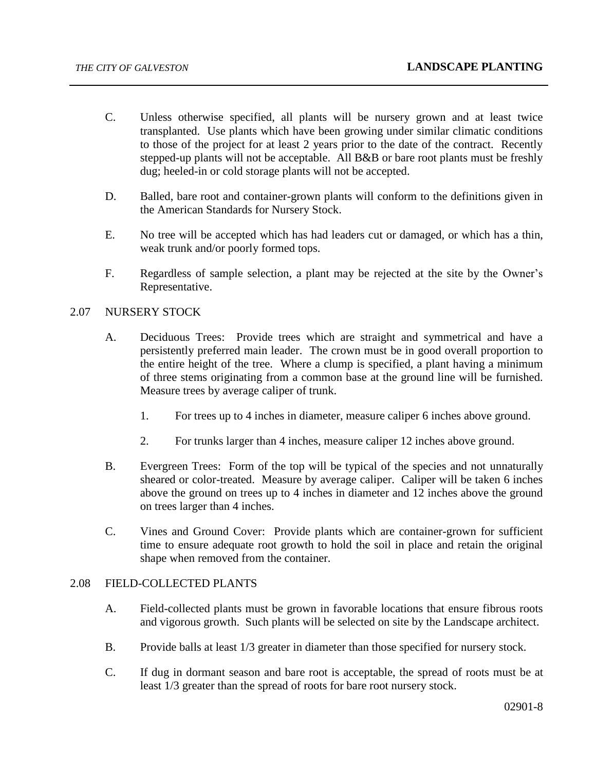- C. Unless otherwise specified, all plants will be nursery grown and at least twice transplanted. Use plants which have been growing under similar climatic conditions to those of the project for at least 2 years prior to the date of the contract. Recently stepped-up plants will not be acceptable. All B&B or bare root plants must be freshly dug; heeled-in or cold storage plants will not be accepted.
- D. Balled, bare root and container-grown plants will conform to the definitions given in the American Standards for Nursery Stock.
- E. No tree will be accepted which has had leaders cut or damaged, or which has a thin, weak trunk and/or poorly formed tops.
- F. Regardless of sample selection, a plant may be rejected at the site by the Owner's Representative.

### 2.07 NURSERY STOCK

- A. Deciduous Trees: Provide trees which are straight and symmetrical and have a persistently preferred main leader. The crown must be in good overall proportion to the entire height of the tree. Where a clump is specified, a plant having a minimum of three stems originating from a common base at the ground line will be furnished. Measure trees by average caliper of trunk.
	- 1. For trees up to 4 inches in diameter, measure caliper 6 inches above ground.
	- 2. For trunks larger than 4 inches, measure caliper 12 inches above ground.
- B. Evergreen Trees: Form of the top will be typical of the species and not unnaturally sheared or color-treated. Measure by average caliper. Caliper will be taken 6 inches above the ground on trees up to 4 inches in diameter and 12 inches above the ground on trees larger than 4 inches.
- C. Vines and Ground Cover: Provide plants which are container-grown for sufficient time to ensure adequate root growth to hold the soil in place and retain the original shape when removed from the container.

### 2.08 FIELD-COLLECTED PLANTS

- A. Field-collected plants must be grown in favorable locations that ensure fibrous roots and vigorous growth. Such plants will be selected on site by the Landscape architect.
- B. Provide balls at least 1/3 greater in diameter than those specified for nursery stock.
- C. If dug in dormant season and bare root is acceptable, the spread of roots must be at least 1/3 greater than the spread of roots for bare root nursery stock.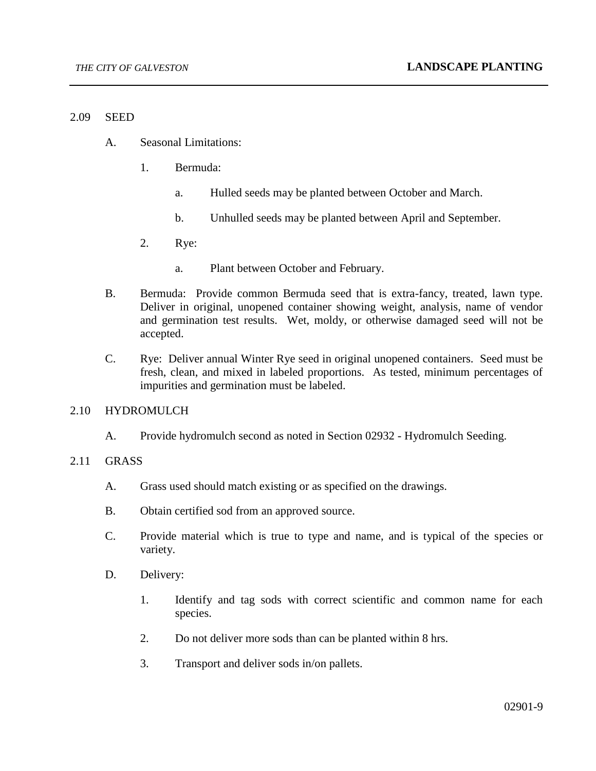#### 2.09 SEED

- A. Seasonal Limitations:
	- 1. Bermuda:
		- a. Hulled seeds may be planted between October and March.
		- b. Unhulled seeds may be planted between April and September.
	- 2. Rye:
		- a. Plant between October and February.
- B. Bermuda: Provide common Bermuda seed that is extra-fancy, treated, lawn type. Deliver in original, unopened container showing weight, analysis, name of vendor and germination test results. Wet, moldy, or otherwise damaged seed will not be accepted.
- C. Rye: Deliver annual Winter Rye seed in original unopened containers. Seed must be fresh, clean, and mixed in labeled proportions. As tested, minimum percentages of impurities and germination must be labeled.

#### 2.10 HYDROMULCH

A. Provide hydromulch second as noted in Section 02932 - Hydromulch Seeding.

#### 2.11 GRASS

- A. Grass used should match existing or as specified on the drawings.
- B. Obtain certified sod from an approved source.
- C. Provide material which is true to type and name, and is typical of the species or variety.
- D. Delivery:
	- 1. Identify and tag sods with correct scientific and common name for each species.
	- 2. Do not deliver more sods than can be planted within 8 hrs.
	- 3. Transport and deliver sods in/on pallets.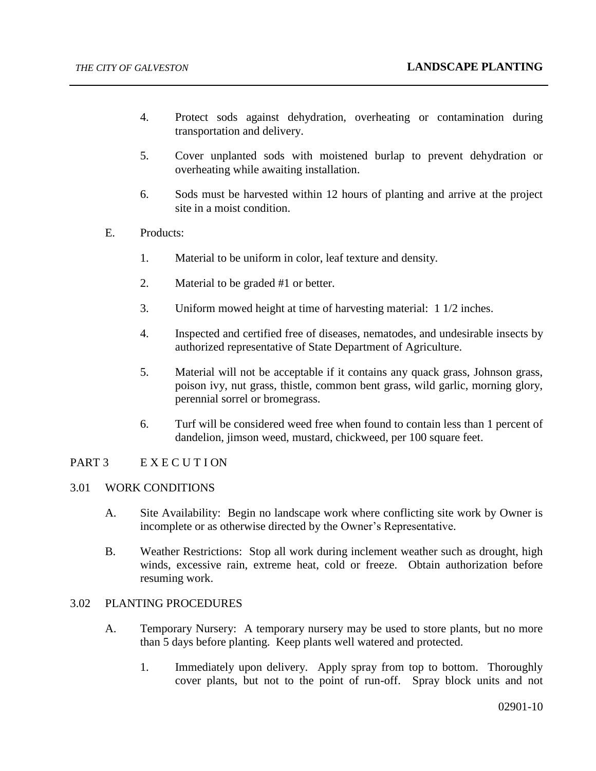- 4. Protect sods against dehydration, overheating or contamination during transportation and delivery.
- 5. Cover unplanted sods with moistened burlap to prevent dehydration or overheating while awaiting installation.
- 6. Sods must be harvested within 12 hours of planting and arrive at the project site in a moist condition.
- E. Products:
	- 1. Material to be uniform in color, leaf texture and density.
	- 2. Material to be graded #1 or better.
	- 3. Uniform mowed height at time of harvesting material: 1 1/2 inches.
	- 4. Inspected and certified free of diseases, nematodes, and undesirable insects by authorized representative of State Department of Agriculture.
	- 5. Material will not be acceptable if it contains any quack grass, Johnson grass, poison ivy, nut grass, thistle, common bent grass, wild garlic, morning glory, perennial sorrel or bromegrass.
	- 6. Turf will be considered weed free when found to contain less than 1 percent of dandelion, jimson weed, mustard, chickweed, per 100 square feet.

## PART 3 E X E C U T I ON

## 3.01 WORK CONDITIONS

- A. Site Availability: Begin no landscape work where conflicting site work by Owner is incomplete or as otherwise directed by the Owner's Representative.
- B. Weather Restrictions: Stop all work during inclement weather such as drought, high winds, excessive rain, extreme heat, cold or freeze. Obtain authorization before resuming work.

## 3.02 PLANTING PROCEDURES

- A. Temporary Nursery: A temporary nursery may be used to store plants, but no more than 5 days before planting. Keep plants well watered and protected.
	- 1. Immediately upon delivery. Apply spray from top to bottom. Thoroughly cover plants, but not to the point of run-off. Spray block units and not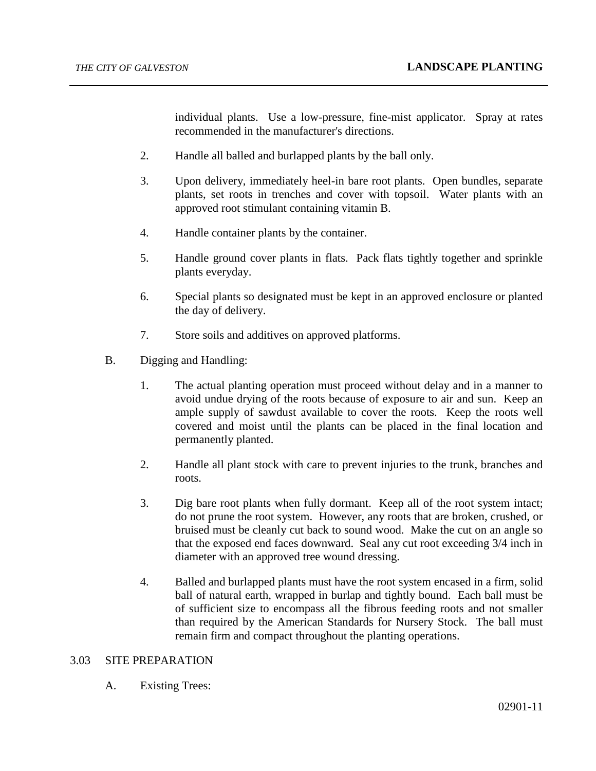individual plants. Use a low-pressure, fine-mist applicator. Spray at rates recommended in the manufacturer's directions.

- 2. Handle all balled and burlapped plants by the ball only.
- 3. Upon delivery, immediately heel-in bare root plants. Open bundles, separate plants, set roots in trenches and cover with topsoil. Water plants with an approved root stimulant containing vitamin B.
- 4. Handle container plants by the container.
- 5. Handle ground cover plants in flats. Pack flats tightly together and sprinkle plants everyday.
- 6. Special plants so designated must be kept in an approved enclosure or planted the day of delivery.
- 7. Store soils and additives on approved platforms.
- B. Digging and Handling:
	- 1. The actual planting operation must proceed without delay and in a manner to avoid undue drying of the roots because of exposure to air and sun. Keep an ample supply of sawdust available to cover the roots. Keep the roots well covered and moist until the plants can be placed in the final location and permanently planted.
	- 2. Handle all plant stock with care to prevent injuries to the trunk, branches and roots.
	- 3. Dig bare root plants when fully dormant. Keep all of the root system intact; do not prune the root system. However, any roots that are broken, crushed, or bruised must be cleanly cut back to sound wood. Make the cut on an angle so that the exposed end faces downward. Seal any cut root exceeding 3/4 inch in diameter with an approved tree wound dressing.
	- 4. Balled and burlapped plants must have the root system encased in a firm, solid ball of natural earth, wrapped in burlap and tightly bound. Each ball must be of sufficient size to encompass all the fibrous feeding roots and not smaller than required by the American Standards for Nursery Stock. The ball must remain firm and compact throughout the planting operations.

### 3.03 SITE PREPARATION

A. Existing Trees: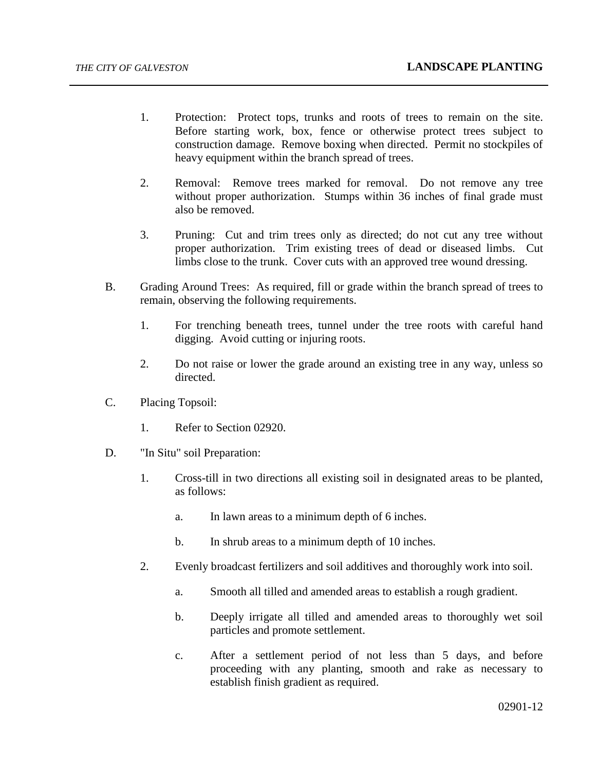- 1. Protection: Protect tops, trunks and roots of trees to remain on the site. Before starting work, box, fence or otherwise protect trees subject to construction damage. Remove boxing when directed. Permit no stockpiles of heavy equipment within the branch spread of trees.
- 2. Removal: Remove trees marked for removal. Do not remove any tree without proper authorization. Stumps within 36 inches of final grade must also be removed.
- 3. Pruning: Cut and trim trees only as directed; do not cut any tree without proper authorization. Trim existing trees of dead or diseased limbs. Cut limbs close to the trunk. Cover cuts with an approved tree wound dressing.
- B. Grading Around Trees: As required, fill or grade within the branch spread of trees to remain, observing the following requirements.
	- 1. For trenching beneath trees, tunnel under the tree roots with careful hand digging. Avoid cutting or injuring roots.
	- 2. Do not raise or lower the grade around an existing tree in any way, unless so directed.
- C. Placing Topsoil:
	- 1. Refer to Section 02920.
- D. "In Situ" soil Preparation:
	- 1. Cross-till in two directions all existing soil in designated areas to be planted, as follows:
		- a. In lawn areas to a minimum depth of 6 inches.
		- b. In shrub areas to a minimum depth of 10 inches.
	- 2. Evenly broadcast fertilizers and soil additives and thoroughly work into soil.
		- a. Smooth all tilled and amended areas to establish a rough gradient.
		- b. Deeply irrigate all tilled and amended areas to thoroughly wet soil particles and promote settlement.
		- c. After a settlement period of not less than 5 days, and before proceeding with any planting, smooth and rake as necessary to establish finish gradient as required.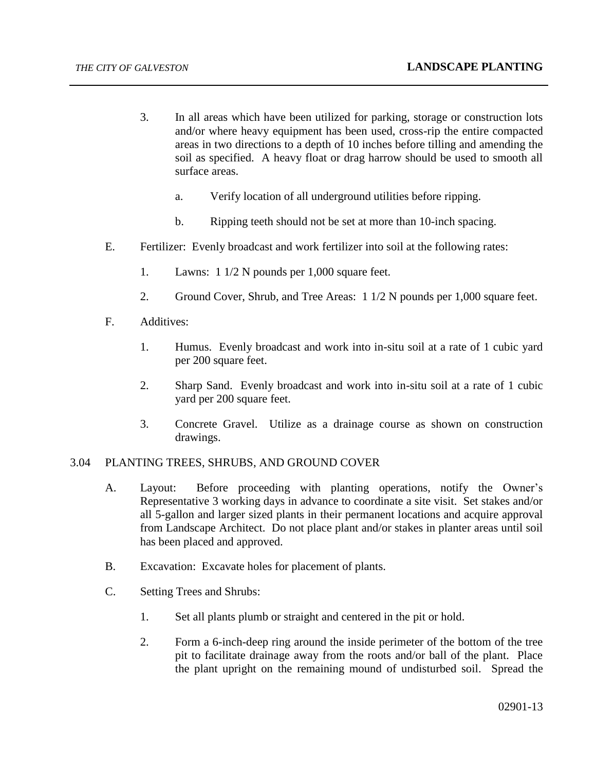- 3. In all areas which have been utilized for parking, storage or construction lots and/or where heavy equipment has been used, cross-rip the entire compacted areas in two directions to a depth of 10 inches before tilling and amending the soil as specified. A heavy float or drag harrow should be used to smooth all surface areas.
	- a. Verify location of all underground utilities before ripping.
	- b. Ripping teeth should not be set at more than 10-inch spacing.
- E. Fertilizer: Evenly broadcast and work fertilizer into soil at the following rates:
	- 1. Lawns: 1 1/2 N pounds per 1,000 square feet.
	- 2. Ground Cover, Shrub, and Tree Areas: 1 1/2 N pounds per 1,000 square feet.
- F. Additives:
	- 1. Humus. Evenly broadcast and work into in-situ soil at a rate of 1 cubic yard per 200 square feet.
	- 2. Sharp Sand. Evenly broadcast and work into in-situ soil at a rate of 1 cubic yard per 200 square feet.
	- 3. Concrete Gravel. Utilize as a drainage course as shown on construction drawings.

## 3.04 PLANTING TREES, SHRUBS, AND GROUND COVER

- A. Layout: Before proceeding with planting operations, notify the Owner's Representative 3 working days in advance to coordinate a site visit. Set stakes and/or all 5-gallon and larger sized plants in their permanent locations and acquire approval from Landscape Architect. Do not place plant and/or stakes in planter areas until soil has been placed and approved.
- B. Excavation: Excavate holes for placement of plants.
- C. Setting Trees and Shrubs:
	- 1. Set all plants plumb or straight and centered in the pit or hold.
	- 2. Form a 6-inch-deep ring around the inside perimeter of the bottom of the tree pit to facilitate drainage away from the roots and/or ball of the plant. Place the plant upright on the remaining mound of undisturbed soil. Spread the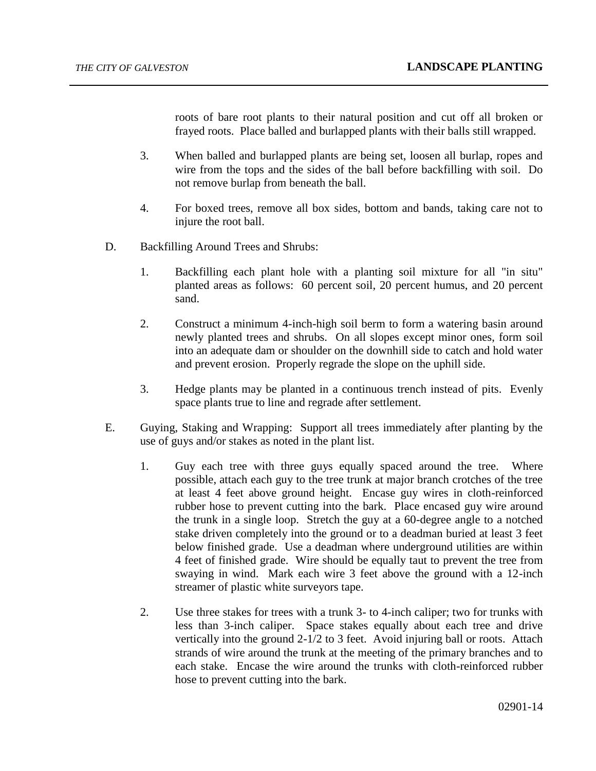roots of bare root plants to their natural position and cut off all broken or frayed roots. Place balled and burlapped plants with their balls still wrapped.

- 3. When balled and burlapped plants are being set, loosen all burlap, ropes and wire from the tops and the sides of the ball before backfilling with soil. Do not remove burlap from beneath the ball.
- 4. For boxed trees, remove all box sides, bottom and bands, taking care not to injure the root ball.
- D. Backfilling Around Trees and Shrubs:
	- 1. Backfilling each plant hole with a planting soil mixture for all "in situ" planted areas as follows: 60 percent soil, 20 percent humus, and 20 percent sand.
	- 2. Construct a minimum 4-inch-high soil berm to form a watering basin around newly planted trees and shrubs. On all slopes except minor ones, form soil into an adequate dam or shoulder on the downhill side to catch and hold water and prevent erosion. Properly regrade the slope on the uphill side.
	- 3. Hedge plants may be planted in a continuous trench instead of pits. Evenly space plants true to line and regrade after settlement.
- E. Guying, Staking and Wrapping: Support all trees immediately after planting by the use of guys and/or stakes as noted in the plant list.
	- 1. Guy each tree with three guys equally spaced around the tree. Where possible, attach each guy to the tree trunk at major branch crotches of the tree at least 4 feet above ground height. Encase guy wires in cloth-reinforced rubber hose to prevent cutting into the bark. Place encased guy wire around the trunk in a single loop. Stretch the guy at a 60-degree angle to a notched stake driven completely into the ground or to a deadman buried at least 3 feet below finished grade. Use a deadman where underground utilities are within 4 feet of finished grade. Wire should be equally taut to prevent the tree from swaying in wind. Mark each wire 3 feet above the ground with a 12-inch streamer of plastic white surveyors tape.
	- 2. Use three stakes for trees with a trunk 3- to 4-inch caliper; two for trunks with less than 3-inch caliper. Space stakes equally about each tree and drive vertically into the ground 2-1/2 to 3 feet. Avoid injuring ball or roots. Attach strands of wire around the trunk at the meeting of the primary branches and to each stake. Encase the wire around the trunks with cloth-reinforced rubber hose to prevent cutting into the bark.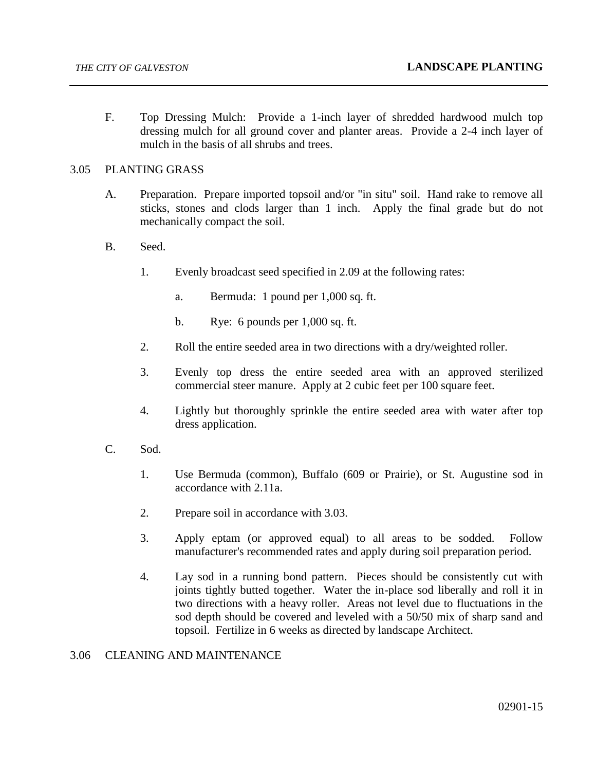F. Top Dressing Mulch: Provide a 1-inch layer of shredded hardwood mulch top dressing mulch for all ground cover and planter areas. Provide a 2-4 inch layer of mulch in the basis of all shrubs and trees.

## 3.05 PLANTING GRASS

- A. Preparation. Prepare imported topsoil and/or "in situ" soil. Hand rake to remove all sticks, stones and clods larger than 1 inch. Apply the final grade but do not mechanically compact the soil.
- B. Seed.
	- 1. Evenly broadcast seed specified in 2.09 at the following rates:
		- a. Bermuda: 1 pound per 1,000 sq. ft.
		- b. Rye: 6 pounds per 1,000 sq. ft.
	- 2. Roll the entire seeded area in two directions with a dry/weighted roller.
	- 3. Evenly top dress the entire seeded area with an approved sterilized commercial steer manure. Apply at 2 cubic feet per 100 square feet.
	- 4. Lightly but thoroughly sprinkle the entire seeded area with water after top dress application.
- C. Sod.
	- 1. Use Bermuda (common), Buffalo (609 or Prairie), or St. Augustine sod in accordance with 2.11a.
	- 2. Prepare soil in accordance with 3.03.
	- 3. Apply eptam (or approved equal) to all areas to be sodded. Follow manufacturer's recommended rates and apply during soil preparation period.
	- 4. Lay sod in a running bond pattern. Pieces should be consistently cut with joints tightly butted together. Water the in-place sod liberally and roll it in two directions with a heavy roller. Areas not level due to fluctuations in the sod depth should be covered and leveled with a 50/50 mix of sharp sand and topsoil. Fertilize in 6 weeks as directed by landscape Architect.

## 3.06 CLEANING AND MAINTENANCE